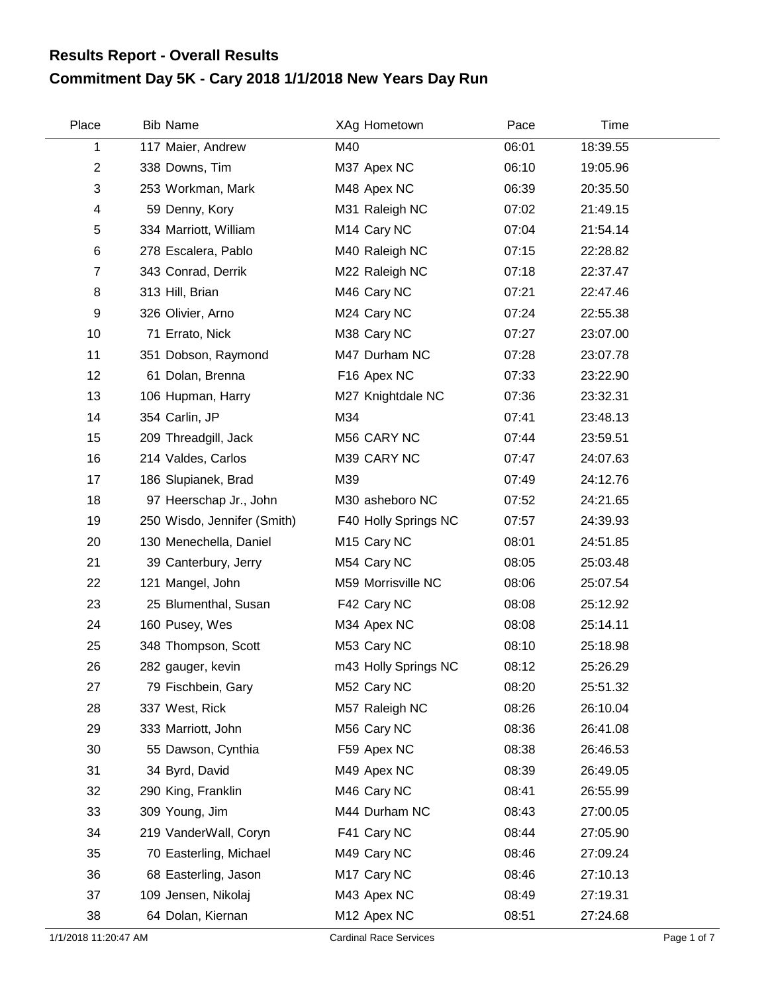## **Commitment Day 5K - Cary 2018 1/1/2018 New Years Day Run Results Report - Overall Results**

| Place                     | <b>Bib Name</b>             | XAg Hometown            | Pace  | Time     |  |
|---------------------------|-----------------------------|-------------------------|-------|----------|--|
| 1                         | 117 Maier, Andrew           | M40                     | 06:01 | 18:39.55 |  |
| $\overline{2}$            | 338 Downs, Tim              | M37 Apex NC             | 06:10 | 19:05.96 |  |
| $\ensuremath{\mathsf{3}}$ | 253 Workman, Mark           | M48 Apex NC             | 06:39 | 20:35.50 |  |
| 4                         | 59 Denny, Kory              | M31 Raleigh NC          | 07:02 | 21:49.15 |  |
| 5                         | 334 Marriott, William       | M14 Cary NC             | 07:04 | 21:54.14 |  |
| $\,6$                     | 278 Escalera, Pablo         | M40 Raleigh NC          | 07:15 | 22:28.82 |  |
| $\overline{7}$            | 343 Conrad, Derrik          | M22 Raleigh NC          | 07:18 | 22:37.47 |  |
| 8                         | 313 Hill, Brian             | M46 Cary NC             | 07:21 | 22:47.46 |  |
| 9                         | 326 Olivier, Arno           | M24 Cary NC             | 07:24 | 22:55.38 |  |
| 10                        | 71 Errato, Nick             | M38 Cary NC             | 07:27 | 23:07.00 |  |
| 11                        | 351 Dobson, Raymond         | M47 Durham NC           | 07:28 | 23:07.78 |  |
| 12                        | 61 Dolan, Brenna            | F16 Apex NC             | 07:33 | 23:22.90 |  |
| 13                        | 106 Hupman, Harry           | M27 Knightdale NC       | 07:36 | 23:32.31 |  |
| 14                        | 354 Carlin, JP              | M34                     | 07:41 | 23:48.13 |  |
| 15                        | 209 Threadgill, Jack        | M56 CARY NC             | 07:44 | 23:59.51 |  |
| 16                        | 214 Valdes, Carlos          | M39 CARY NC             | 07:47 | 24:07.63 |  |
| 17                        | 186 Slupianek, Brad         | M39                     | 07:49 | 24:12.76 |  |
| 18                        | 97 Heerschap Jr., John      | M30 asheboro NC         | 07:52 | 24:21.65 |  |
| 19                        | 250 Wisdo, Jennifer (Smith) | F40 Holly Springs NC    | 07:57 | 24:39.93 |  |
| 20                        | 130 Menechella, Daniel      | M <sub>15</sub> Cary NC | 08:01 | 24:51.85 |  |
| 21                        | 39 Canterbury, Jerry        | M54 Cary NC             | 08:05 | 25:03.48 |  |
| 22                        | 121 Mangel, John            | M59 Morrisville NC      | 08:06 | 25:07.54 |  |
| 23                        | 25 Blumenthal, Susan        | F42 Cary NC             | 08:08 | 25:12.92 |  |
| 24                        | 160 Pusey, Wes              | M34 Apex NC             | 08:08 | 25:14.11 |  |
| 25                        | 348 Thompson, Scott         | M53 Cary NC             | 08:10 | 25:18.98 |  |
| 26                        | 282 gauger, kevin           | m43 Holly Springs NC    | 08:12 | 25:26.29 |  |
| 27                        | 79 Fischbein, Gary          | M52 Cary NC             | 08:20 | 25:51.32 |  |
| 28                        | 337 West, Rick              | M57 Raleigh NC          | 08:26 | 26:10.04 |  |
| 29                        | 333 Marriott, John          | M56 Cary NC             | 08:36 | 26:41.08 |  |
| 30                        | 55 Dawson, Cynthia          | F59 Apex NC             | 08:38 | 26:46.53 |  |
| 31                        | 34 Byrd, David              | M49 Apex NC             | 08:39 | 26:49.05 |  |
| 32                        | 290 King, Franklin          | M46 Cary NC             | 08:41 | 26:55.99 |  |
| 33                        | 309 Young, Jim              | M44 Durham NC           | 08:43 | 27:00.05 |  |
| 34                        | 219 VanderWall, Coryn       | F41 Cary NC             | 08:44 | 27:05.90 |  |
| 35                        | 70 Easterling, Michael      | M49 Cary NC             | 08:46 | 27:09.24 |  |
| 36                        | 68 Easterling, Jason        | M17 Cary NC             | 08:46 | 27:10.13 |  |
| 37                        | 109 Jensen, Nikolaj         | M43 Apex NC             | 08:49 | 27:19.31 |  |
| 38                        | 64 Dolan, Kiernan           | M12 Apex NC             | 08:51 | 27:24.68 |  |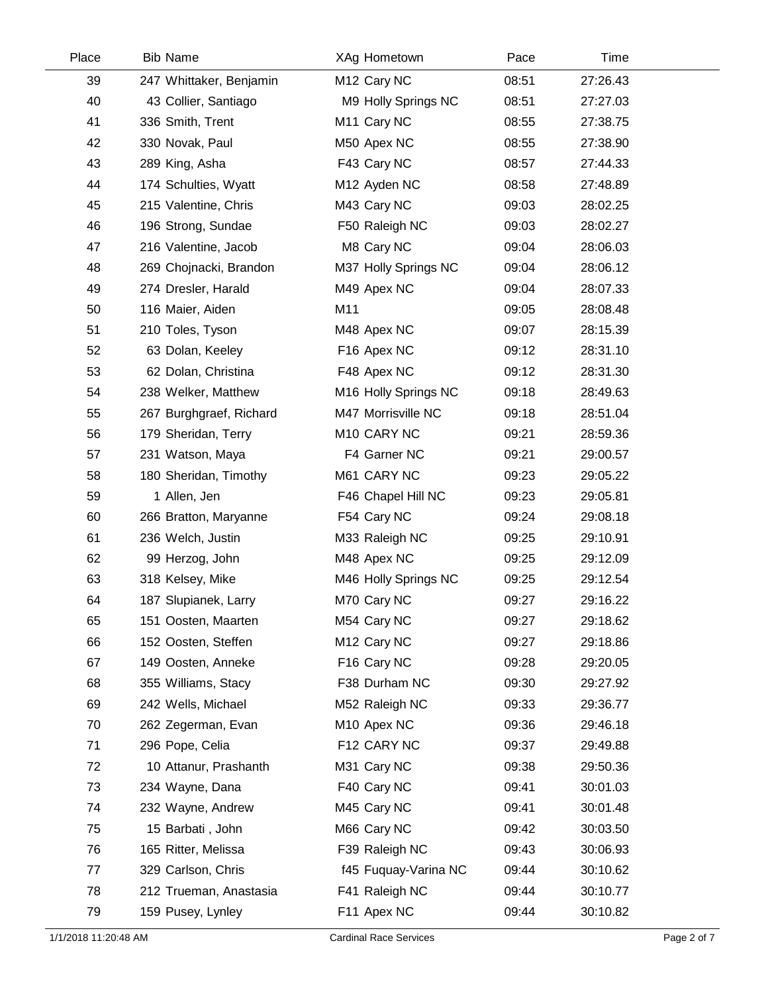| Place | <b>Bib Name</b>         | XAg Hometown            | Pace  | Time     |  |
|-------|-------------------------|-------------------------|-------|----------|--|
| 39    | 247 Whittaker, Benjamin | M <sub>12</sub> Cary NC | 08:51 | 27:26.43 |  |
| 40    | 43 Collier, Santiago    | M9 Holly Springs NC     | 08:51 | 27:27.03 |  |
| 41    | 336 Smith, Trent        | M <sub>11</sub> Cary NC | 08:55 | 27:38.75 |  |
| 42    | 330 Novak, Paul         | M50 Apex NC             | 08:55 | 27:38.90 |  |
| 43    | 289 King, Asha          | F43 Cary NC             | 08:57 | 27:44.33 |  |
| 44    | 174 Schulties, Wyatt    | M12 Ayden NC            | 08:58 | 27:48.89 |  |
| 45    | 215 Valentine, Chris    | M43 Cary NC             | 09:03 | 28:02.25 |  |
| 46    | 196 Strong, Sundae      | F50 Raleigh NC          | 09:03 | 28:02.27 |  |
| 47    | 216 Valentine, Jacob    | M8 Cary NC              | 09:04 | 28:06.03 |  |
| 48    | 269 Chojnacki, Brandon  | M37 Holly Springs NC    | 09:04 | 28:06.12 |  |
| 49    | 274 Dresler, Harald     | M49 Apex NC             | 09:04 | 28:07.33 |  |
| 50    | 116 Maier, Aiden        | M11                     | 09:05 | 28:08.48 |  |
| 51    | 210 Toles, Tyson        | M48 Apex NC             | 09:07 | 28:15.39 |  |
| 52    | 63 Dolan, Keeley        | F16 Apex NC             | 09:12 | 28:31.10 |  |
| 53    | 62 Dolan, Christina     | F48 Apex NC             | 09:12 | 28:31.30 |  |
| 54    | 238 Welker, Matthew     | M16 Holly Springs NC    | 09:18 | 28:49.63 |  |
| 55    | 267 Burghgraef, Richard | M47 Morrisville NC      | 09:18 | 28:51.04 |  |
| 56    | 179 Sheridan, Terry     | M <sub>10</sub> CARY NC | 09:21 | 28:59.36 |  |
| 57    | 231 Watson, Maya        | F4 Garner NC            | 09:21 | 29:00.57 |  |
| 58    | 180 Sheridan, Timothy   | M61 CARY NC             | 09:23 | 29:05.22 |  |
| 59    | 1 Allen, Jen            | F46 Chapel Hill NC      | 09:23 | 29:05.81 |  |
| 60    | 266 Bratton, Maryanne   | F54 Cary NC             | 09:24 | 29:08.18 |  |
| 61    | 236 Welch, Justin       | M33 Raleigh NC          | 09:25 | 29:10.91 |  |
| 62    | 99 Herzog, John         | M48 Apex NC             | 09:25 | 29:12.09 |  |
| 63    | 318 Kelsey, Mike        | M46 Holly Springs NC    | 09:25 | 29:12.54 |  |
| 64    | 187 Slupianek, Larry    | M70 Cary NC             | 09:27 | 29:16.22 |  |
| 65    | 151 Oosten, Maarten     | M54 Cary NC             | 09:27 | 29:18.62 |  |
| 66    | 152 Oosten, Steffen     | M <sub>12</sub> Cary NC | 09:27 | 29:18.86 |  |
| 67    | 149 Oosten, Anneke      | F16 Cary NC             | 09:28 | 29:20.05 |  |
| 68    | 355 Williams, Stacy     | F38 Durham NC           | 09:30 | 29:27.92 |  |
| 69    | 242 Wells, Michael      | M52 Raleigh NC          | 09:33 | 29:36.77 |  |
| 70    | 262 Zegerman, Evan      | M <sub>10</sub> Apex NC | 09:36 | 29:46.18 |  |
| 71    | 296 Pope, Celia         | F12 CARY NC             | 09:37 | 29:49.88 |  |
| 72    | 10 Attanur, Prashanth   | M31 Cary NC             | 09:38 | 29:50.36 |  |
| 73    | 234 Wayne, Dana         | F40 Cary NC             | 09:41 | 30:01.03 |  |
| 74    | 232 Wayne, Andrew       | M45 Cary NC             | 09:41 | 30:01.48 |  |
| 75    | 15 Barbati, John        | M66 Cary NC             | 09:42 | 30:03.50 |  |
| 76    | 165 Ritter, Melissa     | F39 Raleigh NC          | 09:43 | 30:06.93 |  |
| 77    | 329 Carlson, Chris      | f45 Fuquay-Varina NC    | 09:44 | 30:10.62 |  |
| 78    | 212 Trueman, Anastasia  | F41 Raleigh NC          | 09:44 | 30:10.77 |  |
| 79    | 159 Pusey, Lynley       | F11 Apex NC             | 09:44 | 30:10.82 |  |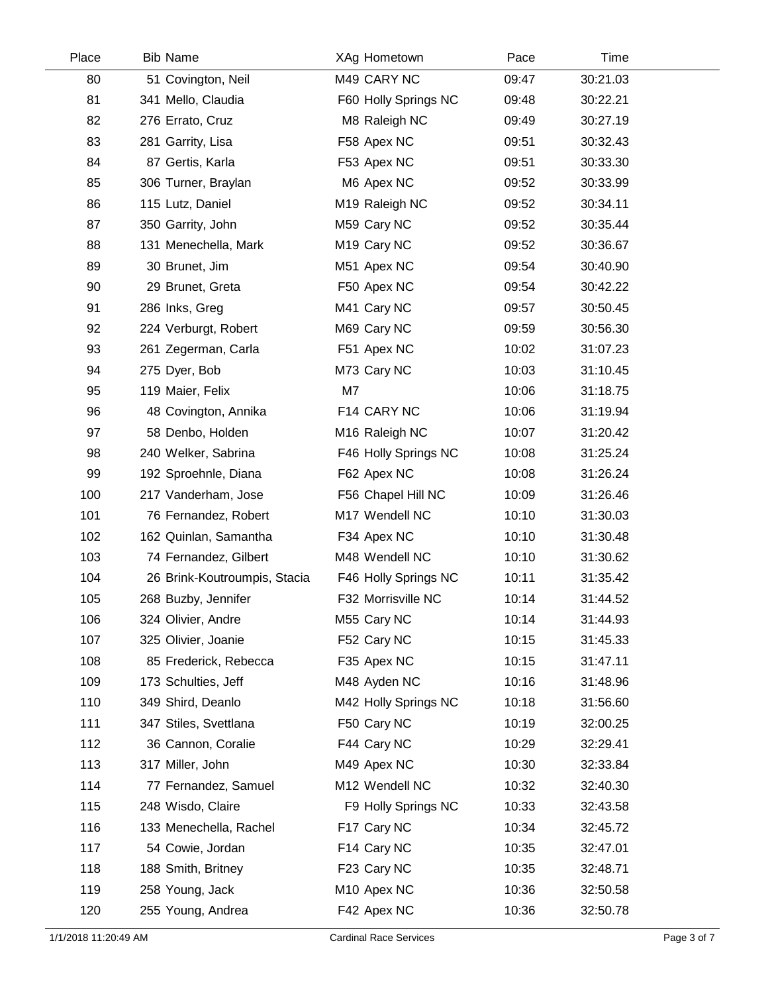| Place | <b>Bib Name</b>              | XAg Hometown            | Pace  | Time     |  |
|-------|------------------------------|-------------------------|-------|----------|--|
| 80    | 51 Covington, Neil           | M49 CARY NC             | 09:47 | 30:21.03 |  |
| 81    | 341 Mello, Claudia           | F60 Holly Springs NC    | 09:48 | 30:22.21 |  |
| 82    | 276 Errato, Cruz             | M8 Raleigh NC           | 09:49 | 30:27.19 |  |
| 83    | 281 Garrity, Lisa            | F58 Apex NC             | 09:51 | 30:32.43 |  |
| 84    | 87 Gertis, Karla             | F53 Apex NC             | 09:51 | 30:33.30 |  |
| 85    | 306 Turner, Braylan          | M6 Apex NC              | 09:52 | 30:33.99 |  |
| 86    | 115 Lutz, Daniel             | M19 Raleigh NC          | 09:52 | 30:34.11 |  |
| 87    | 350 Garrity, John            | M59 Cary NC             | 09:52 | 30:35.44 |  |
| 88    | 131 Menechella, Mark         | M <sub>19</sub> Cary NC | 09:52 | 30:36.67 |  |
| 89    | 30 Brunet, Jim               | M51 Apex NC             | 09:54 | 30:40.90 |  |
| 90    | 29 Brunet, Greta             | F50 Apex NC             | 09:54 | 30:42.22 |  |
| 91    | 286 Inks, Greg               | M41 Cary NC             | 09:57 | 30:50.45 |  |
| 92    | 224 Verburgt, Robert         | M69 Cary NC             | 09:59 | 30:56.30 |  |
| 93    | 261 Zegerman, Carla          | F51 Apex NC             | 10:02 | 31:07.23 |  |
| 94    | 275 Dyer, Bob                | M73 Cary NC             | 10:03 | 31:10.45 |  |
| 95    | 119 Maier, Felix             | M7                      | 10:06 | 31:18.75 |  |
| 96    | 48 Covington, Annika         | F14 CARY NC             | 10:06 | 31:19.94 |  |
| 97    | 58 Denbo, Holden             | M16 Raleigh NC          | 10:07 | 31:20.42 |  |
| 98    | 240 Welker, Sabrina          | F46 Holly Springs NC    | 10:08 | 31:25.24 |  |
| 99    | 192 Sproehnle, Diana         | F62 Apex NC             | 10:08 | 31:26.24 |  |
| 100   | 217 Vanderham, Jose          | F56 Chapel Hill NC      | 10:09 | 31:26.46 |  |
| 101   | 76 Fernandez, Robert         | M17 Wendell NC          | 10:10 | 31:30.03 |  |
| 102   | 162 Quinlan, Samantha        | F34 Apex NC             | 10:10 | 31:30.48 |  |
| 103   | 74 Fernandez, Gilbert        | M48 Wendell NC          | 10:10 | 31:30.62 |  |
| 104   | 26 Brink-Koutroumpis, Stacia | F46 Holly Springs NC    | 10:11 | 31:35.42 |  |
| 105   | 268 Buzby, Jennifer          | F32 Morrisville NC      | 10:14 | 31:44.52 |  |
| 106   | 324 Olivier, Andre           | M55 Cary NC             | 10:14 | 31:44.93 |  |
| 107   | 325 Olivier, Joanie          | F52 Cary NC             | 10:15 | 31:45.33 |  |
| 108   | 85 Frederick, Rebecca        | F35 Apex NC             | 10:15 | 31:47.11 |  |
| 109   | 173 Schulties, Jeff          | M48 Ayden NC            | 10:16 | 31:48.96 |  |
| 110   | 349 Shird, Deanlo            | M42 Holly Springs NC    | 10:18 | 31:56.60 |  |
| 111   | 347 Stiles, Svettlana        | F50 Cary NC             | 10:19 | 32:00.25 |  |
| 112   | 36 Cannon, Coralie           | F44 Cary NC             | 10:29 | 32:29.41 |  |
| 113   | 317 Miller, John             | M49 Apex NC             | 10:30 | 32:33.84 |  |
| 114   | 77 Fernandez, Samuel         | M12 Wendell NC          | 10:32 | 32:40.30 |  |
| 115   | 248 Wisdo, Claire            | F9 Holly Springs NC     | 10:33 | 32:43.58 |  |
| 116   | 133 Menechella, Rachel       | F17 Cary NC             | 10:34 | 32:45.72 |  |
| 117   | 54 Cowie, Jordan             | F14 Cary NC             | 10:35 | 32:47.01 |  |
| 118   | 188 Smith, Britney           | F23 Cary NC             | 10:35 | 32:48.71 |  |
| 119   | 258 Young, Jack              | M <sub>10</sub> Apex NC | 10:36 | 32:50.58 |  |
| 120   | 255 Young, Andrea            | F42 Apex NC             | 10:36 | 32:50.78 |  |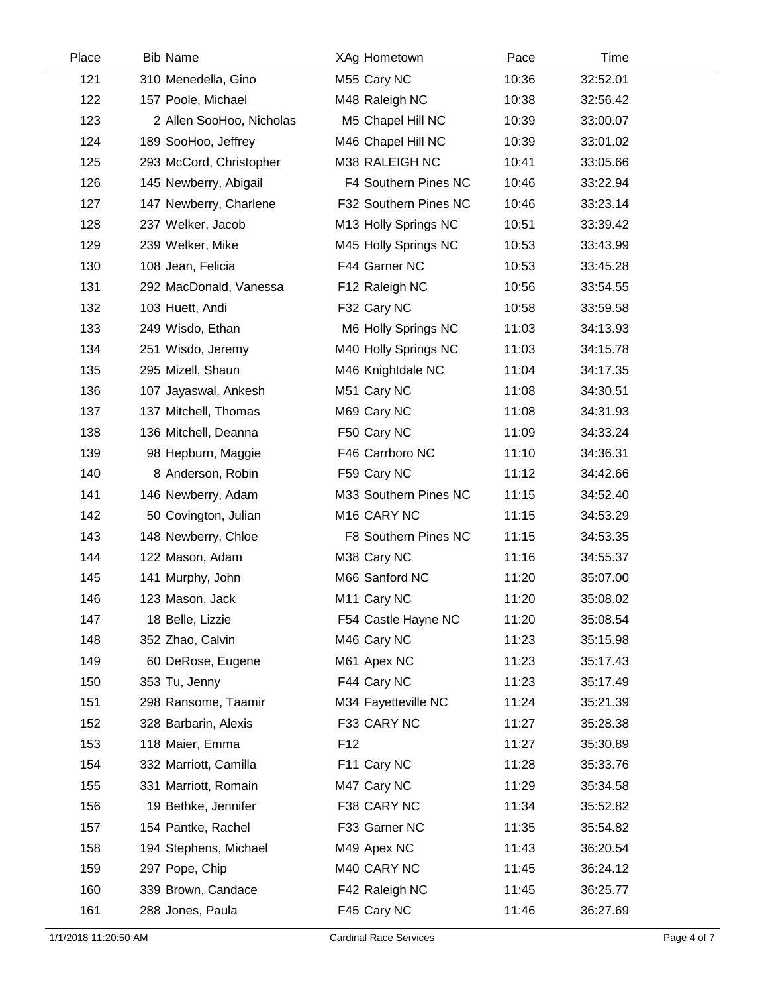| Place | <b>Bib Name</b>          | XAg Hometown            | Pace  | Time     |  |
|-------|--------------------------|-------------------------|-------|----------|--|
| 121   | 310 Menedella, Gino      | M55 Cary NC             | 10:36 | 32:52.01 |  |
| 122   | 157 Poole, Michael       | M48 Raleigh NC          | 10:38 | 32:56.42 |  |
| 123   | 2 Allen SooHoo, Nicholas | M5 Chapel Hill NC       | 10:39 | 33:00.07 |  |
| 124   | 189 SooHoo, Jeffrey      | M46 Chapel Hill NC      | 10:39 | 33:01.02 |  |
| 125   | 293 McCord, Christopher  | M38 RALEIGH NC          | 10:41 | 33:05.66 |  |
| 126   | 145 Newberry, Abigail    | F4 Southern Pines NC    | 10:46 | 33:22.94 |  |
| 127   | 147 Newberry, Charlene   | F32 Southern Pines NC   | 10:46 | 33:23.14 |  |
| 128   | 237 Welker, Jacob        | M13 Holly Springs NC    | 10:51 | 33:39.42 |  |
| 129   | 239 Welker, Mike         | M45 Holly Springs NC    | 10:53 | 33:43.99 |  |
| 130   | 108 Jean, Felicia        | F44 Garner NC           | 10:53 | 33:45.28 |  |
| 131   | 292 MacDonald, Vanessa   | F12 Raleigh NC          | 10:56 | 33:54.55 |  |
| 132   | 103 Huett, Andi          | F32 Cary NC             | 10:58 | 33:59.58 |  |
| 133   | 249 Wisdo, Ethan         | M6 Holly Springs NC     | 11:03 | 34:13.93 |  |
| 134   | 251 Wisdo, Jeremy        | M40 Holly Springs NC    | 11:03 | 34:15.78 |  |
| 135   | 295 Mizell, Shaun        | M46 Knightdale NC       | 11:04 | 34:17.35 |  |
| 136   | 107 Jayaswal, Ankesh     | M51 Cary NC             | 11:08 | 34:30.51 |  |
| 137   | 137 Mitchell, Thomas     | M69 Cary NC             | 11:08 | 34:31.93 |  |
| 138   | 136 Mitchell, Deanna     | F50 Cary NC             | 11:09 | 34:33.24 |  |
| 139   | 98 Hepburn, Maggie       | F46 Carrboro NC         | 11:10 | 34:36.31 |  |
| 140   | 8 Anderson, Robin        | F59 Cary NC             | 11:12 | 34:42.66 |  |
| 141   | 146 Newberry, Adam       | M33 Southern Pines NC   | 11:15 | 34:52.40 |  |
| 142   | 50 Covington, Julian     | M <sub>16</sub> CARY NC | 11:15 | 34:53.29 |  |
| 143   | 148 Newberry, Chloe      | F8 Southern Pines NC    | 11:15 | 34:53.35 |  |
| 144   | 122 Mason, Adam          | M38 Cary NC             | 11:16 | 34:55.37 |  |
| 145   | 141 Murphy, John         | M66 Sanford NC          | 11:20 | 35:07.00 |  |
| 146   | 123 Mason, Jack          | M <sub>11</sub> Cary NC | 11:20 | 35:08.02 |  |
| 147   | 18 Belle, Lizzie         | F54 Castle Hayne NC     | 11:20 | 35:08.54 |  |
| 148   | 352 Zhao, Calvin         | M46 Cary NC             | 11:23 | 35:15.98 |  |
| 149   | 60 DeRose, Eugene        | M61 Apex NC             | 11:23 | 35:17.43 |  |
| 150   | 353 Tu, Jenny            | F44 Cary NC             | 11:23 | 35:17.49 |  |
| 151   | 298 Ransome, Taamir      | M34 Fayetteville NC     | 11:24 | 35:21.39 |  |
| 152   | 328 Barbarin, Alexis     | F33 CARY NC             | 11:27 | 35:28.38 |  |
| 153   | 118 Maier, Emma          | F <sub>12</sub>         | 11:27 | 35:30.89 |  |
| 154   | 332 Marriott, Camilla    | F11 Cary NC             | 11:28 | 35:33.76 |  |
| 155   | 331 Marriott, Romain     | M47 Cary NC             | 11:29 | 35:34.58 |  |
| 156   | 19 Bethke, Jennifer      | F38 CARY NC             | 11:34 | 35:52.82 |  |
| 157   | 154 Pantke, Rachel       | F33 Garner NC           | 11:35 | 35:54.82 |  |
| 158   | 194 Stephens, Michael    | M49 Apex NC             | 11:43 | 36:20.54 |  |
| 159   | 297 Pope, Chip           | M40 CARY NC             | 11:45 | 36:24.12 |  |
| 160   | 339 Brown, Candace       | F42 Raleigh NC          | 11:45 | 36:25.77 |  |
| 161   | 288 Jones, Paula         | F45 Cary NC             | 11:46 | 36:27.69 |  |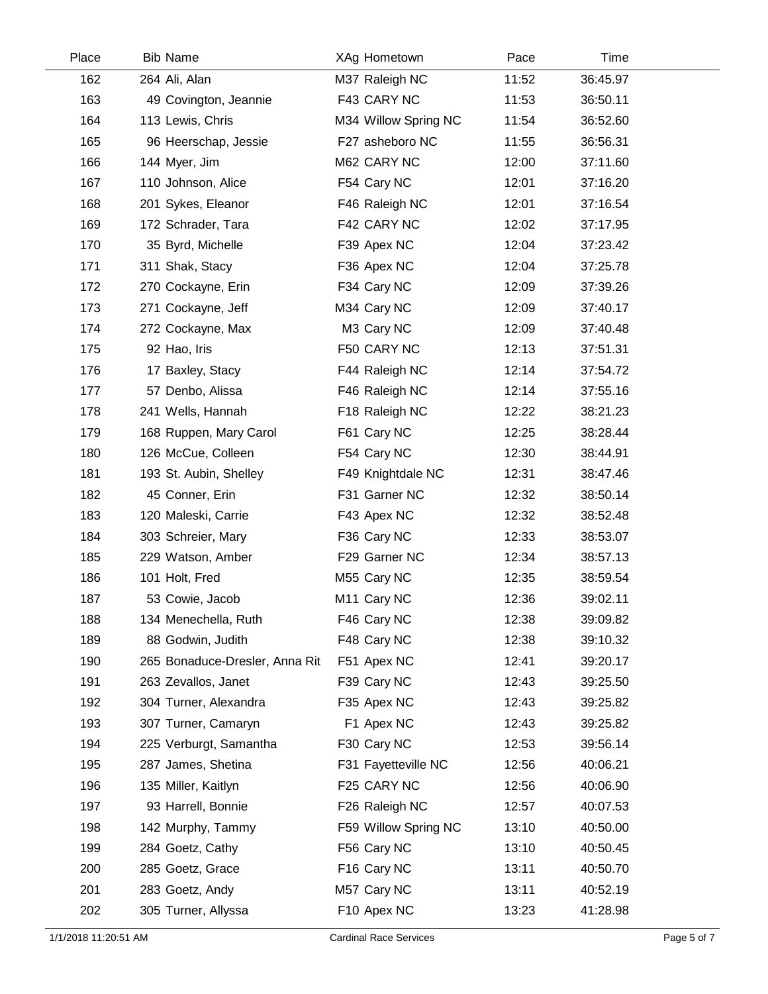| Place | <b>Bib Name</b>                | XAg Hometown            | Pace  | Time     |  |
|-------|--------------------------------|-------------------------|-------|----------|--|
| 162   | 264 Ali, Alan                  | M37 Raleigh NC          | 11:52 | 36:45.97 |  |
| 163   | 49 Covington, Jeannie          | F43 CARY NC             | 11:53 | 36:50.11 |  |
| 164   | 113 Lewis, Chris               | M34 Willow Spring NC    | 11:54 | 36:52.60 |  |
| 165   | 96 Heerschap, Jessie           | F27 asheboro NC         | 11:55 | 36:56.31 |  |
| 166   | 144 Myer, Jim                  | M62 CARY NC             | 12:00 | 37:11.60 |  |
| 167   | 110 Johnson, Alice             | F54 Cary NC             | 12:01 | 37:16.20 |  |
| 168   | 201 Sykes, Eleanor             | F46 Raleigh NC          | 12:01 | 37:16.54 |  |
| 169   | 172 Schrader, Tara             | F42 CARY NC             | 12:02 | 37:17.95 |  |
| 170   | 35 Byrd, Michelle              | F39 Apex NC             | 12:04 | 37:23.42 |  |
| 171   | 311 Shak, Stacy                | F36 Apex NC             | 12:04 | 37:25.78 |  |
| 172   | 270 Cockayne, Erin             | F34 Cary NC             | 12:09 | 37:39.26 |  |
| 173   | 271 Cockayne, Jeff             | M34 Cary NC             | 12:09 | 37:40.17 |  |
| 174   | 272 Cockayne, Max              | M3 Cary NC              | 12:09 | 37:40.48 |  |
| 175   | 92 Hao, Iris                   | F50 CARY NC             | 12:13 | 37:51.31 |  |
| 176   | 17 Baxley, Stacy               | F44 Raleigh NC          | 12:14 | 37:54.72 |  |
| 177   | 57 Denbo, Alissa               | F46 Raleigh NC          | 12:14 | 37:55.16 |  |
| 178   | 241 Wells, Hannah              | F18 Raleigh NC          | 12:22 | 38:21.23 |  |
| 179   | 168 Ruppen, Mary Carol         | F61 Cary NC             | 12:25 | 38:28.44 |  |
| 180   | 126 McCue, Colleen             | F54 Cary NC             | 12:30 | 38:44.91 |  |
| 181   | 193 St. Aubin, Shelley         | F49 Knightdale NC       | 12:31 | 38:47.46 |  |
| 182   | 45 Conner, Erin                | F31 Garner NC           | 12:32 | 38:50.14 |  |
| 183   | 120 Maleski, Carrie            | F43 Apex NC             | 12:32 | 38:52.48 |  |
| 184   | 303 Schreier, Mary             | F36 Cary NC             | 12:33 | 38:53.07 |  |
| 185   | 229 Watson, Amber              | F29 Garner NC           | 12:34 | 38:57.13 |  |
| 186   | 101 Holt, Fred                 | M55 Cary NC             | 12:35 | 38:59.54 |  |
| 187   | 53 Cowie, Jacob                | M <sub>11</sub> Cary NC | 12:36 | 39:02.11 |  |
| 188   | 134 Menechella, Ruth           | F46 Cary NC             | 12:38 | 39:09.82 |  |
| 189   | 88 Godwin, Judith              | F48 Cary NC             | 12:38 | 39:10.32 |  |
| 190   | 265 Bonaduce-Dresler, Anna Rit | F51 Apex NC             | 12:41 | 39:20.17 |  |
| 191   | 263 Zevallos, Janet            | F39 Cary NC             | 12:43 | 39:25.50 |  |
| 192   | 304 Turner, Alexandra          | F35 Apex NC             | 12:43 | 39:25.82 |  |
| 193   | 307 Turner, Camaryn            | F1 Apex NC              | 12:43 | 39:25.82 |  |
| 194   | 225 Verburgt, Samantha         | F30 Cary NC             | 12:53 | 39:56.14 |  |
| 195   | 287 James, Shetina             | F31 Fayetteville NC     | 12:56 | 40:06.21 |  |
| 196   | 135 Miller, Kaitlyn            | F25 CARY NC             | 12:56 | 40:06.90 |  |
| 197   | 93 Harrell, Bonnie             | F26 Raleigh NC          | 12:57 | 40:07.53 |  |
| 198   | 142 Murphy, Tammy              | F59 Willow Spring NC    | 13:10 | 40:50.00 |  |
| 199   | 284 Goetz, Cathy               | F56 Cary NC             | 13:10 | 40:50.45 |  |
| 200   | 285 Goetz, Grace               | F <sub>16</sub> Cary NC | 13:11 | 40:50.70 |  |
| 201   | 283 Goetz, Andy                | M57 Cary NC             | 13:11 | 40:52.19 |  |
| 202   | 305 Turner, Allyssa            | F10 Apex NC             | 13:23 | 41:28.98 |  |
|       |                                |                         |       |          |  |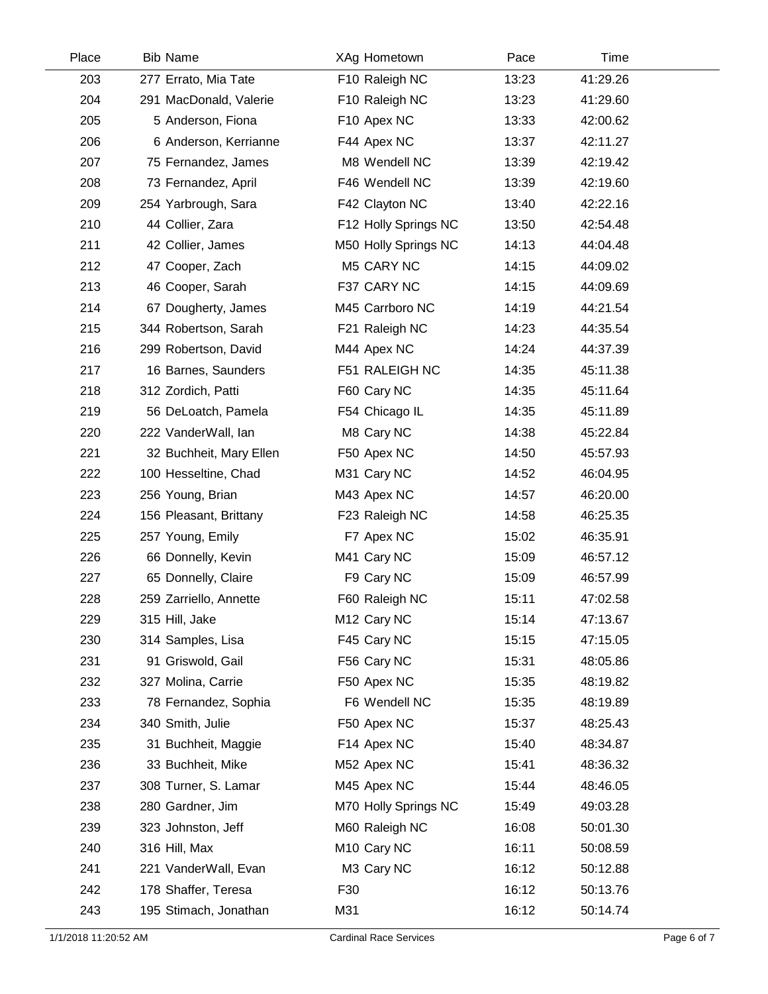| Place | <b>Bib Name</b>         | XAg Hometown            | Pace  | Time     |  |
|-------|-------------------------|-------------------------|-------|----------|--|
| 203   | 277 Errato, Mia Tate    | F10 Raleigh NC          | 13:23 | 41:29.26 |  |
| 204   | 291 MacDonald, Valerie  | F10 Raleigh NC          | 13:23 | 41:29.60 |  |
| 205   | 5 Anderson, Fiona       | F10 Apex NC             | 13:33 | 42:00.62 |  |
| 206   | 6 Anderson, Kerrianne   | F44 Apex NC             | 13:37 | 42:11.27 |  |
| 207   | 75 Fernandez, James     | M8 Wendell NC           | 13:39 | 42:19.42 |  |
| 208   | 73 Fernandez, April     | F46 Wendell NC          | 13:39 | 42:19.60 |  |
| 209   | 254 Yarbrough, Sara     | F42 Clayton NC          | 13:40 | 42:22.16 |  |
| 210   | 44 Collier, Zara        | F12 Holly Springs NC    | 13:50 | 42:54.48 |  |
| 211   | 42 Collier, James       | M50 Holly Springs NC    | 14:13 | 44:04.48 |  |
| 212   | 47 Cooper, Zach         | M5 CARY NC              | 14:15 | 44:09.02 |  |
| 213   | 46 Cooper, Sarah        | F37 CARY NC             | 14:15 | 44:09.69 |  |
| 214   | 67 Dougherty, James     | M45 Carrboro NC         | 14:19 | 44:21.54 |  |
| 215   | 344 Robertson, Sarah    | F21 Raleigh NC          | 14:23 | 44:35.54 |  |
| 216   | 299 Robertson, David    | M44 Apex NC             | 14:24 | 44:37.39 |  |
| 217   | 16 Barnes, Saunders     | F51 RALEIGH NC          | 14:35 | 45:11.38 |  |
| 218   | 312 Zordich, Patti      | F60 Cary NC             | 14:35 | 45:11.64 |  |
| 219   | 56 DeLoatch, Pamela     | F54 Chicago IL          | 14:35 | 45:11.89 |  |
| 220   | 222 VanderWall, Ian     | M8 Cary NC              | 14:38 | 45:22.84 |  |
| 221   | 32 Buchheit, Mary Ellen | F50 Apex NC             | 14:50 | 45:57.93 |  |
| 222   | 100 Hesseltine, Chad    | M31 Cary NC             | 14:52 | 46:04.95 |  |
| 223   | 256 Young, Brian        | M43 Apex NC             | 14:57 | 46:20.00 |  |
| 224   | 156 Pleasant, Brittany  | F23 Raleigh NC          | 14:58 | 46:25.35 |  |
| 225   | 257 Young, Emily        | F7 Apex NC              | 15:02 | 46:35.91 |  |
| 226   | 66 Donnelly, Kevin      | M41 Cary NC             | 15:09 | 46:57.12 |  |
| 227   | 65 Donnelly, Claire     | F9 Cary NC              | 15:09 | 46:57.99 |  |
| 228   | 259 Zarriello, Annette  | F60 Raleigh NC          | 15:11 | 47:02.58 |  |
| 229   | 315 Hill, Jake          | M <sub>12</sub> Cary NC | 15:14 | 47:13.67 |  |
| 230   | 314 Samples, Lisa       | F45 Cary NC             | 15:15 | 47:15.05 |  |
| 231   | 91 Griswold, Gail       | F56 Cary NC             | 15:31 | 48:05.86 |  |
| 232   | 327 Molina, Carrie      | F50 Apex NC             | 15:35 | 48:19.82 |  |
| 233   | 78 Fernandez, Sophia    | F6 Wendell NC           | 15:35 | 48:19.89 |  |
| 234   | 340 Smith, Julie        | F50 Apex NC             | 15:37 | 48:25.43 |  |
| 235   | 31 Buchheit, Maggie     | F14 Apex NC             | 15:40 | 48:34.87 |  |
| 236   | 33 Buchheit, Mike       | M52 Apex NC             | 15:41 | 48:36.32 |  |
| 237   | 308 Turner, S. Lamar    | M45 Apex NC             | 15:44 | 48:46.05 |  |
| 238   | 280 Gardner, Jim        | M70 Holly Springs NC    | 15:49 | 49:03.28 |  |
| 239   | 323 Johnston, Jeff      | M60 Raleigh NC          | 16:08 | 50:01.30 |  |
| 240   | 316 Hill, Max           | M <sub>10</sub> Cary NC | 16:11 | 50:08.59 |  |
| 241   | 221 VanderWall, Evan    | M3 Cary NC              | 16:12 | 50:12.88 |  |
| 242   | 178 Shaffer, Teresa     | F30                     | 16:12 | 50:13.76 |  |
| 243   | 195 Stimach, Jonathan   | M31                     | 16:12 | 50:14.74 |  |